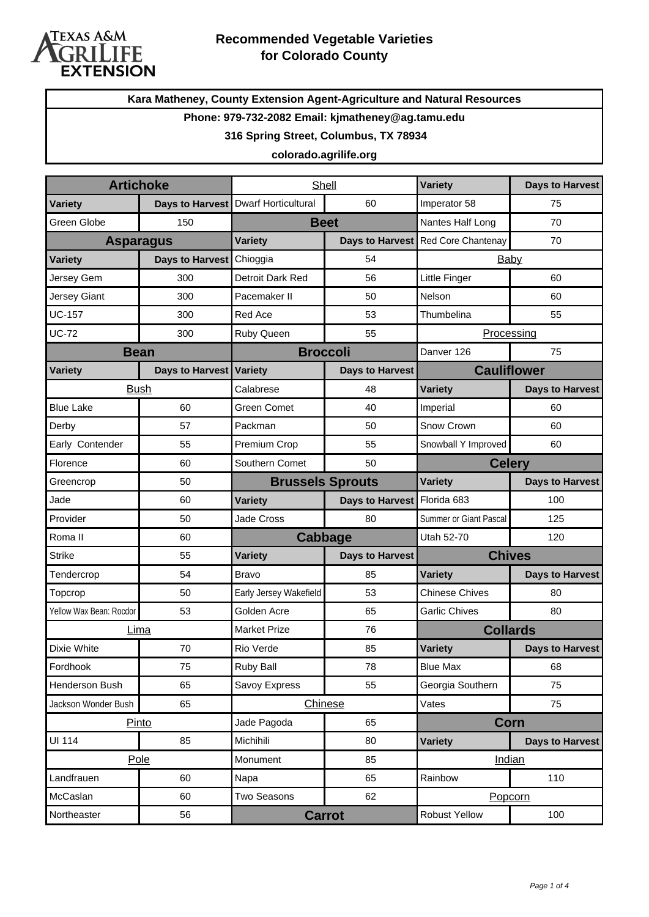

**Kara Matheney, County Extension Agent-Agriculture and Natural Resources**

#### **Phone: 979-732-2082 Email: kjmatheney@ag.tamu.edu**

#### **316 Spring Street, Columbus, TX 78934**

#### **colorado.agrilife.org**

| <b>Artichoke</b>        |                 | Shell                      |                             | Variety                            | <b>Days to Harvest</b> |
|-------------------------|-----------------|----------------------------|-----------------------------|------------------------------------|------------------------|
| <b>Variety</b>          | Days to Harvest | <b>Dwarf Horticultural</b> | 60                          | Imperator 58                       | 75                     |
| Green Globe             | 150             | <b>Beet</b>                |                             | Nantes Half Long                   | 70                     |
| <b>Asparagus</b>        |                 | <b>Variety</b>             |                             | Days to Harvest Red Core Chantenay | 70                     |
| <b>Variety</b>          | Days to Harvest | Chioggia                   | 54                          | Baby                               |                        |
| Jersey Gem              | 300             | Detroit Dark Red           | 56                          | Little Finger                      | 60                     |
| Jersey Giant            | 300             | Pacemaker II               | 50                          | Nelson                             | 60                     |
| <b>UC-157</b>           | 300             | Red Ace                    | 53                          | Thumbelina                         | 55                     |
| <b>UC-72</b>            | 300             | Ruby Queen                 | 55                          | Processing                         |                        |
| <b>Bean</b>             |                 | <b>Broccoli</b>            |                             | Danver 126<br>75                   |                        |
| <b>Variety</b>          | Days to Harvest | <b>Variety</b>             | <b>Days to Harvest</b>      | <b>Cauliflower</b>                 |                        |
|                         | <b>Bush</b>     | Calabrese                  | 48                          | <b>Variety</b>                     | <b>Days to Harvest</b> |
| <b>Blue Lake</b>        | 60              | <b>Green Comet</b>         | 40                          | Imperial                           | 60                     |
| Derby                   | 57              | Packman                    | 50                          | Snow Crown                         | 60                     |
| Early Contender         | 55              | Premium Crop               | 55                          | Snowball Y Improved                | 60                     |
| Florence                | 60              | Southern Comet             | 50                          | <b>Celery</b>                      |                        |
| Greencrop               | 50              | <b>Brussels Sprouts</b>    |                             | <b>Variety</b>                     | <b>Days to Harvest</b> |
| Jade                    | 60              | Variety                    | Days to Harvest Florida 683 |                                    | 100                    |
| Provider                | 50              | Jade Cross                 | 80                          | Summer or Giant Pascal             | 125                    |
| Roma II                 | 60              | <b>Cabbage</b>             |                             | Utah 52-70                         | 120                    |
| <b>Strike</b>           | 55              | <b>Variety</b>             | <b>Days to Harvest</b>      | <b>Chives</b>                      |                        |
| Tendercrop              | 54              | <b>Bravo</b>               | 85                          | <b>Variety</b>                     | <b>Days to Harvest</b> |
| Topcrop                 | 50              | Early Jersey Wakefield     | 53                          | <b>Chinese Chives</b>              | 80                     |
| Yellow Wax Bean: Rocdor | 53              | Golden Acre                | 65                          | <b>Garlic Chives</b>               | 80                     |
| Lima                    |                 | <b>Market Prize</b>        | 76                          | <b>Collards</b>                    |                        |
| Dixie White             | 70              | Rio Verde                  | 85                          | <b>Variety</b>                     | <b>Days to Harvest</b> |
| Fordhook                | 75              | <b>Ruby Ball</b>           | 78                          | <b>Blue Max</b>                    | 68                     |
| Henderson Bush          | 65              | Savoy Express              | 55                          | Georgia Southern                   | 75                     |
| Jackson Wonder Bush     | 65              | Chinese                    |                             | Vates                              | 75                     |
| Pinto                   |                 | Jade Pagoda<br>65          |                             | Corn                               |                        |
| UI 114                  | 85              | Michihili                  | 80                          | <b>Variety</b>                     | <b>Days to Harvest</b> |
|                         | Pole            | Monument                   | 85                          |                                    | Indian                 |
| Landfrauen              | 60              | Napa                       | 65                          | Rainbow                            | 110                    |
| McCaslan                | 60              | Two Seasons                | 62                          |                                    | Popcorn                |
| Northeaster             | 56              |                            | <b>Carrot</b>               | <b>Robust Yellow</b>               | 100                    |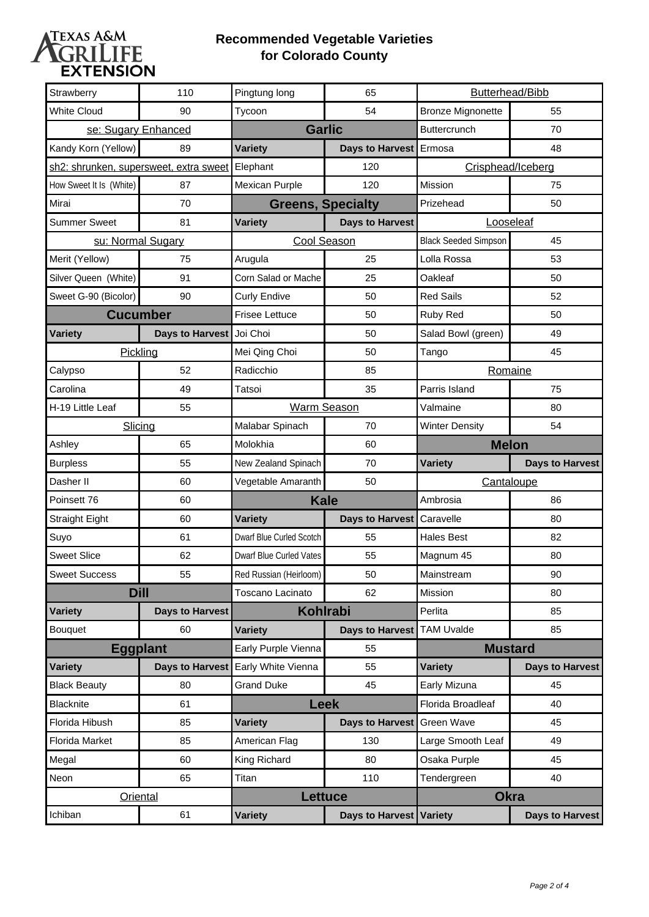

### **Recommended Vegetable Varieties for Colorado County**

| <b>Strawberry</b>       | 110                                    | Pingtung long            | 65                        | Butterhead/Bibb             |                        |
|-------------------------|----------------------------------------|--------------------------|---------------------------|-----------------------------|------------------------|
| <b>White Cloud</b>      | 90                                     | Tycoon                   | 54                        | <b>Bronze Mignonette</b>    | 55                     |
| se: Sugary Enhanced     |                                        | <b>Garlic</b>            |                           | Buttercrunch                | 70                     |
| Kandy Korn (Yellow)     | 89                                     | <b>Variety</b>           | Days to Harvest Ermosa    |                             | 48                     |
|                         | sh2: shrunken, supersweet, extra sweet | Elephant                 | 120                       | Crisphead/Iceberg           |                        |
| How Sweet It Is (White) | 87                                     | Mexican Purple           | 120                       | Mission                     | 75                     |
| Mirai                   | 70                                     | <b>Greens, Specialty</b> |                           | Prizehead                   | 50                     |
| <b>Summer Sweet</b>     | 81                                     | <b>Variety</b>           | <b>Days to Harvest</b>    | Looseleaf                   |                        |
|                         | su: Normal Sugary                      | <b>Cool Season</b>       |                           | <b>Black Seeded Simpson</b> | 45                     |
| Merit (Yellow)          | 75                                     | Arugula                  | 25                        | Lolla Rossa                 | 53                     |
| Silver Queen (White)    | 91                                     | Corn Salad or Mache      | 25                        | Oakleaf                     | 50                     |
| Sweet G-90 (Bicolor)    | 90                                     | <b>Curly Endive</b>      | 50                        | <b>Red Sails</b>            | 52                     |
| <b>Cucumber</b>         |                                        | <b>Frisee Lettuce</b>    | 50                        | Ruby Red                    | 50                     |
| Variety                 | Days to Harvest                        | Joi Choi                 | 50                        | Salad Bowl (green)          | 49                     |
|                         | Pickling                               | Mei Qing Choi            | 50                        | Tango                       | 45                     |
| Calypso                 | 52                                     | Radicchio                | 85                        | Romaine                     |                        |
| Carolina                | 49                                     | Tatsoi                   | 35                        | Parris Island               | 75                     |
| H-19 Little Leaf        | 55                                     | <b>Warm Season</b>       |                           | Valmaine                    | 80                     |
|                         | Slicing                                | Malabar Spinach          | 70                        | <b>Winter Density</b>       | 54                     |
| Ashley                  | 65                                     | Molokhia                 | 60                        | <b>Melon</b>                |                        |
|                         |                                        |                          |                           |                             |                        |
| <b>Burpless</b>         | 55                                     | New Zealand Spinach      | 70                        | Variety                     | <b>Days to Harvest</b> |
| Dasher II               | 60                                     | Vegetable Amaranth       | 50                        | Cantaloupe                  |                        |
| Poinsett 76             | 60                                     | <b>Kale</b>              |                           | Ambrosia                    | 86                     |
| <b>Straight Eight</b>   | 60                                     | <b>Variety</b>           | Days to Harvest Caravelle |                             | 80                     |
| Suyo                    | 61                                     | Dwarf Blue Curled Scotch | 55                        | <b>Hales Best</b>           | 82                     |
| <b>Sweet Slice</b>      | 62                                     | Dwarf Blue Curled Vates  | 55                        | Magnum 45                   | 80                     |
| <b>Sweet Success</b>    | 55                                     | Red Russian (Heirloom)   | 50                        | Mainstream                  | 90                     |
|                         | <b>Dill</b>                            | Toscano Lacinato         | 62                        | Mission                     | 80                     |
| <b>Variety</b>          | <b>Days to Harvest</b>                 | <b>Kohlrabi</b>          |                           | Perlita                     | 85                     |
| <b>Bouquet</b>          | 60                                     | <b>Variety</b>           | Days to Harvest           | <b>TAM Uvalde</b>           | 85                     |
|                         | <b>Eggplant</b>                        | Early Purple Vienna      | 55                        | <b>Mustard</b>              |                        |
| <b>Variety</b>          | Days to Harvest                        | Early White Vienna       | 55                        | <b>Variety</b>              | <b>Days to Harvest</b> |
| <b>Black Beauty</b>     | 80                                     | <b>Grand Duke</b>        | 45                        | Early Mizuna                | 45                     |
| <b>Blacknite</b>        | 61                                     | <b>Leek</b>              |                           | Florida Broadleaf           | 40                     |
| Florida Hibush          | 85                                     | <b>Variety</b>           | Days to Harvest           | Green Wave                  | 45                     |
| Florida Market          | 85                                     | American Flag            | 130                       | Large Smooth Leaf           | 49                     |
| Megal                   | 60                                     | King Richard             | 80                        | Osaka Purple                | 45                     |
| Neon                    | 65                                     | Titan                    | 110                       | Tendergreen                 | 40                     |
|                         | Oriental                               | <b>Lettuce</b>           |                           | <b>Okra</b>                 |                        |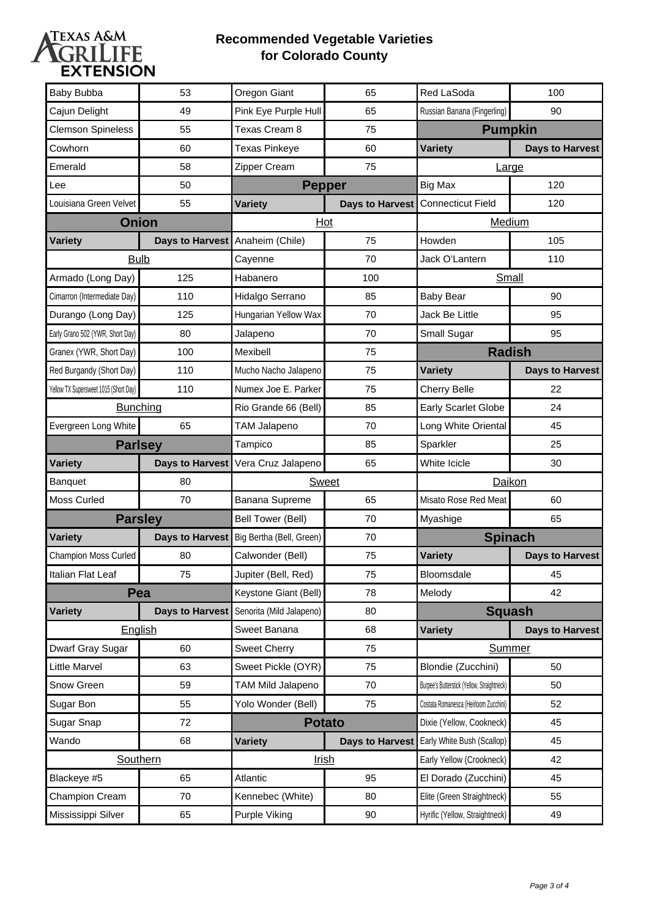

### **Recommended Vegetable Varieties for Colorado County**

| Baby Bubba                            | 53                     | Oregon Giant             | 65              | Red LaSoda                                  | 100                    |
|---------------------------------------|------------------------|--------------------------|-----------------|---------------------------------------------|------------------------|
| Cajun Delight                         | 49                     | Pink Eye Purple Hull     | 65              | Russian Banana (Fingerling)                 | 90                     |
| <b>Clemson Spineless</b>              | 55                     | Texas Cream 8            | 75              | <b>Pumpkin</b>                              |                        |
| Cowhorn                               | 60                     | <b>Texas Pinkeye</b>     | 60              | <b>Variety</b>                              | <b>Days to Harvest</b> |
| Emerald                               | 58                     | Zipper Cream             | 75              | Large                                       |                        |
| Lee                                   | 50                     | <b>Pepper</b>            |                 | Big Max                                     | 120                    |
| Louisiana Green Velvet                | 55                     | <b>Variety</b>           |                 | Days to Harvest Connecticut Field           | 120                    |
|                                       | <b>Onion</b>           | Hot                      |                 | Medium                                      |                        |
| <b>Variety</b>                        | <b>Days to Harvest</b> | Anaheim (Chile)          | 75              | Howden                                      | 105                    |
| <b>Bulb</b>                           |                        | Cayenne                  | 70              | Jack O'Lantern                              | 110                    |
| Armado (Long Day)                     | 125                    | Habanero                 | 100             | Small                                       |                        |
| Cimarron (Intermediate Day)           | 110                    | Hidalgo Serrano          | 85              | <b>Baby Bear</b>                            | 90                     |
| Durango (Long Day)                    | 125                    | Hungarian Yellow Wax     | 70              | Jack Be Little                              | 95                     |
| Early Grano 502 (YWR, Short Day)      | 80                     | Jalapeno                 | 70              | Small Sugar                                 | 95                     |
| Granex (YWR, Short Day)               | 100                    | Mexibell                 | 75              | <b>Radish</b>                               |                        |
| Red Burgandy (Short Day)              | 110                    | Mucho Nacho Jalapeno     | 75              | <b>Variety</b>                              | <b>Days to Harvest</b> |
| Yellow TX Supersweet 1015 (Short Day) | 110                    | Numex Joe E. Parker      | 75              | <b>Cherry Belle</b>                         | 22                     |
| Bunching                              |                        | Rio Grande 66 (Bell)     | 85              | Early Scarlet Globe                         | 24                     |
| Evergreen Long White                  | 65                     | <b>TAM Jalapeno</b>      | 70              | Long White Oriental                         | 45                     |
|                                       |                        | Tampico                  | 85              | Sparkler                                    | 25                     |
| <b>Parlsey</b>                        |                        |                          |                 |                                             |                        |
| <b>Variety</b>                        | <b>Days to Harvest</b> | Vera Cruz Jalapeno       | 65              | White Icicle                                | 30                     |
| Banquet                               | 80                     | <b>Sweet</b>             |                 | Daikon                                      |                        |
| Moss Curled                           | 70                     | Banana Supreme           | 65              | Misato Rose Red Meat                        | 60                     |
|                                       | <b>Parsley</b>         | Bell Tower (Bell)        | 70              | Myashige                                    | 65                     |
| <b>Variety</b>                        | <b>Days to Harvest</b> | Big Bertha (Bell, Green) | 70              | <b>Spinach</b>                              |                        |
| Champion Moss Curled                  | 80                     | Calwonder (Bell)         | 75              | <b>Variety</b>                              | <b>Days to Harvest</b> |
| Italian Flat Leaf                     | 75                     | Jupiter (Bell, Red)      | 75              | Bloomsdale                                  | 45                     |
|                                       | Pea                    | Keystone Giant (Bell)    | 78              | Melody                                      | 42                     |
| <b>Variety</b>                        | <b>Days to Harvest</b> | Senorita (Mild Jalapeno) | 80              | <b>Squash</b>                               |                        |
|                                       | English                | Sweet Banana             | 68              | Variety                                     | <b>Days to Harvest</b> |
| Dwarf Gray Sugar                      | 60                     | <b>Sweet Cherry</b>      | 75              | Summer                                      |                        |
| <b>Little Marvel</b>                  | 63                     | Sweet Pickle (OYR)       | 75              | Blondie (Zucchini)                          | 50                     |
| Snow Green                            | 59                     | TAM Mild Jalapeno        | 70              | Burpee's Butterstick (Yellow, Straightneck) | 50                     |
| Sugar Bon                             | 55                     | Yolo Wonder (Bell)       | 75              | Costata Romanesca (Heirloom Zucchini)       | 52                     |
| Sugar Snap                            | 72                     |                          | <b>Potato</b>   | Dixie (Yellow, Cookneck)                    | 45                     |
| Wando                                 | 68                     | <b>Variety</b>           | Days to Harvest | Early White Bush (Scallop)                  | 45                     |
|                                       | Southern               |                          | <u>Irish</u>    | Early Yellow (Crookneck)                    | 42                     |
| Blackeye #5                           | 65                     | Atlantic                 | 95              | El Dorado (Zucchini)                        | 45                     |
| Champion Cream                        | 70                     | Kennebec (White)         | 80              | Elite (Green Straightneck)                  | 55                     |